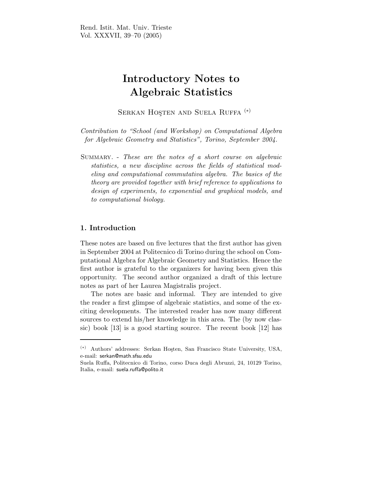# Introductory Notes to Algebraic Statistics

SERKAN HOSTEN AND SUELA RUFFA<sup>(\*)</sup>

Contribution to "School (and Workshop) on Computational Algebra for Algebraic Geometry and Statistics", Torino, September 2004.

Summary. - These are the notes of a short course on algebraic statistics, a new discipline across the fields of statistical modeling and computational commutativa algebra. The basics of the theory are provided together with brief reference to applications to design of experiments, to exponential and graphical models, and to computational biology.

# 1. Introduction

These notes are based on five lectures that the first author has given in September 2004 at Politecnico di Torino during the school on Computational Algebra for Algebraic Geometry and Statistics. Hence the first author is grateful to the organizers for having been given this opportunity. The second author organized a draft of this lecture notes as part of her Laurea Magistralis project.

The notes are basic and informal. They are intended to give the reader a first glimpse of algebraic statistics, and some of the exciting developments. The interested reader has now many different sources to extend his/her knowledge in this area. The (by now classic) book [13] is a good starting source. The recent book [12] has

<sup>(\*)</sup> Authors' addresses: Serkan Hosten, San Francisco State University, USA, e-mail: serkan@math.sfsu.edu

Suela Ruffa, Politecnico di Torino, corso Duca degli Abruzzi, 24, 10129 Torino, Italia, e-mail: suela.ruffa@polito.it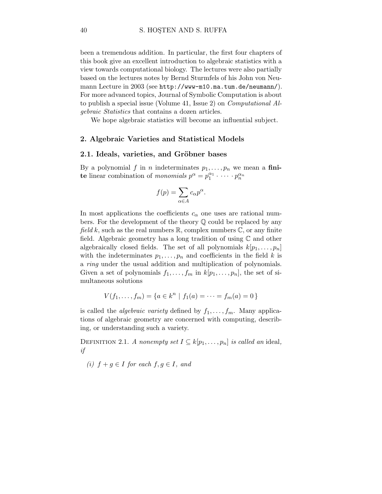been a tremendous addition. In particular, the first four chapters of this book give an excellent introduction to algebraic statistics with a view towards computational biology. The lectures were also partially based on the lectures notes by Bernd Sturmfels of his John von Neumann Lecture in 2003 (see http://www-m10.ma.tum.de/neumann/). For more advanced topics, Journal of Symbolic Computation is about to publish a special issue (Volume 41, Issue 2) on Computational Algebraic Statistics that contains a dozen articles.

We hope algebraic statistics will become an influential subject.

#### 2. Algebraic Varieties and Statistical Models

#### 2.1. Ideals, varieties, and Gröbner bases

By a polynomial f in n indeterminates  $p_1, \ldots, p_n$  we mean a finite linear combination of monomials  $p^{\alpha} = p_1^{\alpha_1} \cdot \dots \cdot p_n^{\alpha_n}$ 

$$
f(p) = \sum_{\alpha \in A} c_{\alpha} p^{\alpha}.
$$

In most applications the coefficients  $c_{\alpha}$  one uses are rational numbers. For the development of the theory Q could be replaced by any field k, such as the real numbers  $\mathbb{R}$ , complex numbers  $\mathbb{C}$ , or any finite field. Algebraic geometry has a long tradition of using  $\mathbb C$  and other algebraically closed fields. The set of all polynomials  $k[p_1, \ldots, p_n]$ with the indeterminates  $p_1, \ldots, p_n$  and coefficients in the field k is a ring under the usual addition and multiplication of polynomials. Given a set of polynomials  $f_1, \ldots, f_m$  in  $k[p_1, \ldots, p_n]$ , the set of simultaneous solutions

$$
V(f_1, \ldots, f_m) = \{a \in k^n \mid f_1(a) = \cdots = f_m(a) = 0\}
$$

is called the *algebraic variety* defined by  $f_1, \ldots, f_m$ . Many applications of algebraic geometry are concerned with computing, describing, or understanding such a variety.

DEFINITION 2.1. A nonempty set  $I \subseteq k[p_1, \ldots, p_n]$  is called an ideal, if

(i)  $f + g \in I$  for each  $f, g \in I$ , and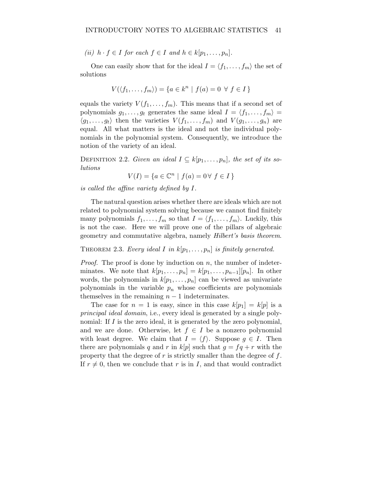(ii)  $h \cdot f \in I$  for each  $f \in I$  and  $h \in k[p_1,\ldots,p_n]$ .

One can easily show that for the ideal  $I = \langle f_1, \ldots, f_m \rangle$  the set of solutions

$$
V(\langle f_1, \ldots, f_m \rangle) = \{ a \in k^n \mid f(a) = 0 \ \forall \ f \in I \}
$$

equals the variety  $V(f_1,\ldots,f_m)$ . This means that if a second set of polynomials  $g_1, \ldots, g_t$  generates the same ideal  $I = \langle f_1, \ldots, f_m \rangle =$  $\langle g_1, \ldots, g_t \rangle$  then the varieties  $V(f_1, \ldots, f_m)$  and  $V(g_1, \ldots, g_n)$  are equal. All what matters is the ideal and not the individual polynomials in the polynomial system. Consequently, we introduce the notion of the variety of an ideal.

DEFINITION 2.2. Given an ideal  $I \subseteq k[p_1,\ldots,p_n]$ , the set of its solutions

$$
V(I) = \{ a \in \mathbb{C}^n \mid f(a) = 0 \forall f \in I \}
$$

is called the affine variety defined by I.

The natural question arises whether there are ideals which are not related to polynomial system solving because we cannot find finitely many polynomials  $f_1, \ldots, f_m$  so that  $I = \langle f_1, \ldots, f_m \rangle$ . Luckily, this is not the case. Here we will prove one of the pillars of algebraic geometry and commutative algebra, namely Hilbert's basis theorem.

THEOREM 2.3. Every ideal I in  $k[p_1,\ldots,p_n]$  is finitely generated.

*Proof.* The proof is done by induction on  $n$ , the number of indeterminates. We note that  $k[p_1,\ldots,p_n] = k[p_1,\ldots,p_{n-1}][p_n]$ . In other words, the polynomials in  $k[p_1,\ldots,p_n]$  can be viewed as univariate polynomials in the variable  $p_n$  whose coefficients are polynomials themselves in the remaining  $n - 1$  indeterminates.

The case for  $n = 1$  is easy, since in this case  $k[p_1] = k[p]$  is a principal ideal domain, i.e., every ideal is generated by a single polynomial: If  $I$  is the zero ideal, it is generated by the zero polynomial, and we are done. Otherwise, let  $f \in I$  be a nonzero polynomial with least degree. We claim that  $I = \langle f \rangle$ . Suppose  $g \in I$ . Then there are polynomials q and r in  $k[p]$  such that  $g = fq + r$  with the property that the degree of  $r$  is strictly smaller than the degree of  $f$ . If  $r \neq 0$ , then we conclude that r is in I, and that would contradict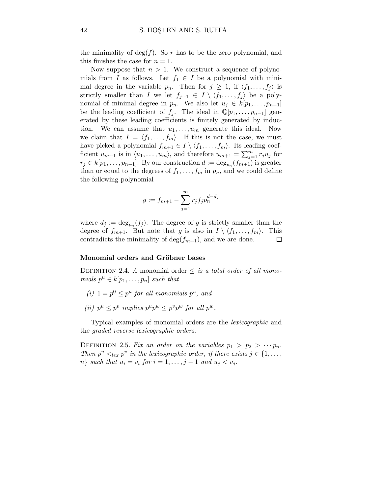the minimality of  $\deg(f)$ . So r has to be the zero polynomial, and this finishes the case for  $n = 1$ .

Now suppose that  $n > 1$ . We construct a sequence of polynomials from I as follows. Let  $f_1 \in I$  be a polynomial with minimal degree in the variable  $p_n$ . Then for  $j \geq 1$ , if  $\langle f_1, \ldots, f_j \rangle$  is strictly smaller than I we let  $f_{j+1} \in I \setminus \langle f_1,\ldots, f_j \rangle$  be a polynomial of minimal degree in  $p_n$ . We also let  $u_j \in k[p_1,\ldots,p_{n-1}]$ be the leading coefficient of  $f_i$ . The ideal in  $\mathbb{Q}[p_1,\ldots,p_{n-1}]$  generated by these leading coefficients is finitely generated by induction. We can assume that  $u_1, \ldots, u_m$  generate this ideal. Now we claim that  $I = \langle f_1, \ldots, f_m \rangle$ . If this is not the case, we must have picked a polynomial  $f_{m+1} \in I \setminus \langle f_1, \ldots, f_m \rangle$ . Its leading coefficient  $u_{m+1}$  is in  $\langle u_1, \ldots, u_m \rangle$ , and therefore  $u_{m+1} = \sum_{j=1}^m r_j u_j$  for  $r_j \in k[p_1, \ldots, p_{n-1}]$ . By our construction  $d := \deg_{p_n}(f_{m+1})$  is greater than or equal to the degrees of  $f_1, \ldots, f_m$  in  $p_n$ , and we could define the following polynomial

$$
g := f_{m+1} - \sum_{j=1}^{m} r_j f_j p_n^{d-d_j}
$$

where  $d_j := \deg_{p_n}(f_j)$ . The degree of g is strictly smaller than the degree of  $f_{m+1}$ . But note that g is also in  $I \setminus \langle f_1, \ldots, f_m \rangle$ . This contradicts the minimality of  $deg(f_{m+1})$ , and we are done.  $\Box$ 

#### Monomial orders and Gröbner bases

DEFINITION 2.4. A monomial order  $\leq$  is a total order of all monomials  $p^u \in k[p_1, \ldots, p_n]$  such that

- (i)  $1 = p^0 \leq p^u$  for all monomials  $p^u$ , and
- (ii)  $p^u \n\t\leq p^v$  implies  $p^u p^w \leq p^v p^w$  for all  $p^w$ .

Typical examples of monomial orders are the lexicographic and the graded reverse lexicographic orders.

DEFINITION 2.5. Fix an order on the variables  $p_1 > p_2 > \cdots p_n$ . Then  $p^u \leq_{lex} p^v$  in the lexicographic order, if there exists  $j \in \{1, \ldots,$  $n\}$  such that  $u_i = v_i$  for  $i = 1, \ldots, j - 1$  and  $u_j < v_j$ .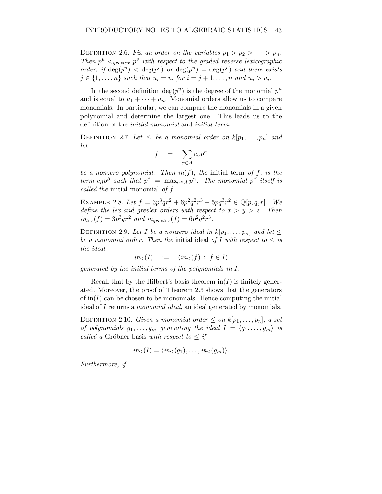DEFINITION 2.6. Fix an order on the variables  $p_1 > p_2 > \cdots > p_n$ . Then  $p^u \leq_{grevlex} p^v$  with respect to the graded reverse lexicographic order, if  $\deg(p^u) < \deg(p^v)$  or  $\deg(p^u) = \deg(p^v)$  and there exists  $j \in \{1, \ldots, n\}$  such that  $u_i = v_i$  for  $i = j + 1, \ldots, n$  and  $u_j > v_j$ .

In the second definition  $deg(p^u)$  is the degree of the monomial  $p^u$ and is equal to  $u_1 + \cdots + u_n$ . Monomial orders allow us to compare monomials. In particular, we can compare the monomials in a given polynomial and determine the largest one. This leads us to the definition of the initial monomial and initial term.

DEFINITION 2.7. Let  $\leq$  be a monomial order on  $k[p_1,\ldots,p_n]$  and let

$$
f = \sum_{\alpha \in A} c_{\alpha} p^{\alpha}
$$

be a nonzero polynomial. Then  $in(f)$ , the initial term of f, is the term  $c_{\beta}p^{\beta}$  such that  $p^{\beta}$  =  $\max_{\alpha \in A} p^{\alpha}$ . The monomial  $p^{\beta}$  itself is called the initial monomial of f.

EXAMPLE 2.8. Let  $f = 3p^3qr^2 + 6p^2q^2r^3 - 5pq^3r^2 \in \mathbb{Q}[p,q,r]$ . We define the lex and grevlex orders with respect to  $x > y > z$ . Then  $in_{lex}(f) = 3p^3qr^2$  and  $in_{grevlex}(f) = 6p^2q^2r^3$ .

DEFINITION 2.9. Let I be a nonzero ideal in  $k[p_1,\ldots,p_n]$  and let  $\leq$ be a monomial order. Then the initial ideal of I with respect to  $\leq$  is the ideal

$$
in_{\leq}(I) \quad := \quad \langle in_{\leq}(f) \, : \, f \in I \rangle
$$

generated by the initial terms of the polynomials in I.

Recall that by the Hilbert's basis theorem  $\text{in}(I)$  is finitely generated. Moreover, the proof of Theorem 2.3 shows that the generators of  $\text{in}(I)$  can be chosen to be monomials. Hence computing the initial ideal of I returns a *monomial ideal*, an ideal generated by monomials.

DEFINITION 2.10. Given a monomial order  $\leq$  on  $k[p_1,\ldots,p_n]$ , a set of polynomials  $g_1, \ldots, g_m$  generating the ideal  $I = \langle g_1, \ldots, g_m \rangle$  is called a Gröbner basis with respect to  $\leq if$ 

$$
in_{\leq}(I) = \langle in_{\leq}(g_1), \ldots, in_{\leq}(g_m) \rangle.
$$

Furthermore, if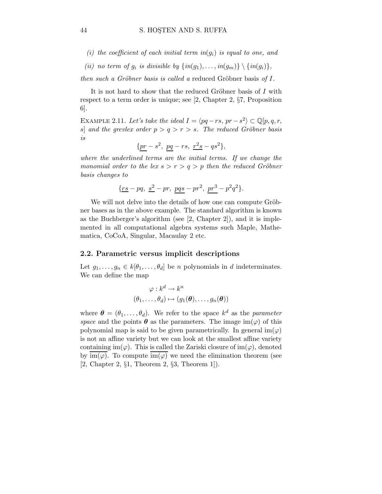- (i) the coefficient of each initial term in( $q_i$ ) is equal to one, and
- (ii) no term of  $g_i$  is divisible by  $\{in(g_1), \ldots, in(g_m)\} \setminus \{in(g_i)\},$

then such a Gröbner basis is called a reduced Gröbner basis of  $I$ .

It is not hard to show that the reduced Gröbner basis of  $I$  with respect to a term order is unique; see [2, Chapter 2, §7, Proposition 6].

EXAMPLE 2.11. Let's take the ideal  $I = \langle pq - rs, pr - s^2 \rangle \subset \mathbb{Q}[p,q,r]$ s] and the grevlex order  $p > q > r > s$ . The reduced Gröbner basis is

$$
\{\underline{pr}-s^2,\ \underline{pq}-rs,\ \underline{r^2s}-qs^2\},
$$

where the underlined terms are the initial terms. If we change the monomial order to the lex  $s > r > q > p$  then the reduced Gröbner basis changes to

$$
\{\underline{rs} - pq, \ \underline{s^2} - pr, \ \underline{pqs} - pr^2, \ \underline{pr^3} - p^2q^2\}.
$$

We will not delve into the details of how one can compute Gröbner bases as in the above example. The standard algorithm is known as the Buchberger's algorithm (see [2, Chapter 2]), and it is implemented in all computational algebra systems such Maple, Mathematica, CoCoA, Singular, Macaulay 2 etc.

## 2.2. Parametric versus implicit descriptions

Let  $g_1, \ldots, g_n \in k[\theta_1, \ldots, \theta_d]$  be *n* polynomials in *d* indeterminates. We can define the map

$$
\varphi : k^d \to k^n
$$

$$
(\theta_1, \dots, \theta_d) \mapsto (g_1(\boldsymbol{\theta}), \dots, g_n(\boldsymbol{\theta}))
$$

where  $\boldsymbol{\theta} = (\theta_1, \dots, \theta_d)$ . We refer to the space  $k^d$  as the parameter space and the points  $\theta$  as the parameters. The image im( $\varphi$ ) of this polynomial map is said to be given parametrically. In general  $\text{im}(\varphi)$ is not an affine variety but we can look at the smallest affine variety containing im( $\varphi$ ). This is called the Zariski closure of im( $\varphi$ ), denoted by  $\text{im}(\varphi)$ . To compute  $\text{im}(\varphi)$  we need the elimination theorem (see [2, Chapter 2, §1, Theorem 2, §3, Theorem 1]).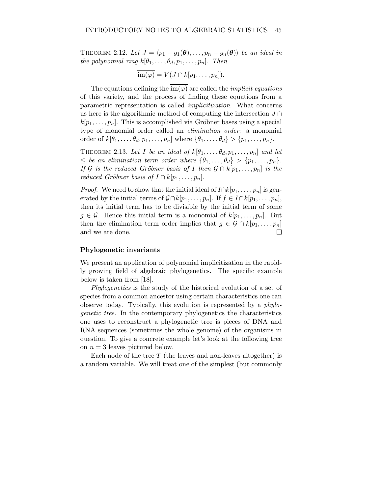THEOREM 2.12. Let  $J = \langle p_1 - g_1(\boldsymbol{\theta}), \ldots, p_n - g_n(\boldsymbol{\theta}) \rangle$  be an ideal in the polynomial ring  $k[\theta_1,\ldots,\theta_d,p_1,\ldots,p_n]$ . Then

$$
\overline{\text{im}(\varphi)} = V(J \cap k[p_1, \dots, p_n]).
$$

The equations defining the  $\overline{\text{im}(\varphi)}$  are called the *implicit equations* of this variety, and the process of finding these equations from a parametric representation is called implicitization. What concerns us here is the algorithmic method of computing the intersection  $J \cap$  $k[p_1,\ldots,p_n]$ . This is accomplished via Gröbner bases using a special type of monomial order called an elimination order: a monomial order of  $k[\theta_1,\ldots,\theta_d,p_1,\ldots,p_n]$  where  $\{\theta_1,\ldots,\theta_d\} > \{p_1,\ldots,p_n\}$ .

THEOREM 2.13. Let I be an ideal of  $k[\theta_1,\ldots,\theta_d,p_1,\ldots,p_n]$  and let  $\leq$  be an elimination term order where  $\{\theta_1,\ldots,\theta_d\} > \{p_1,\ldots,p_n\}.$ If G is the reduced Gröbner basis of I then  $\mathcal{G} \cap k[p_1,\ldots,p_n]$  is the reduced Gröbner basis of  $I \cap k[p_1, \ldots, p_n]$ .

*Proof.* We need to show that the initial ideal of  $I \cap k[p_1, \ldots, p_n]$  is generated by the initial terms of  $\mathcal{G} \cap k[p_1,\ldots,p_n]$ . If  $f \in I \cap k[p_1,\ldots,p_n]$ , then its initial term has to be divisible by the initial term of some  $g \in \mathcal{G}$ . Hence this initial term is a monomial of  $k[p_1,\ldots,p_n]$ . But then the elimination term order implies that  $g \in \mathcal{G} \cap k[p_1,\ldots,p_n]$ and we are done.  $\Box$ 

#### Phylogenetic invariants

We present an application of polynomial implicitization in the rapidly growing field of algebraic phylogenetics. The specific example below is taken from [18].

Phylogenetics is the study of the historical evolution of a set of species from a common ancestor using certain characteristics one can observe today. Typically, this evolution is represented by a phylogenetic tree. In the contemporary phylogenetics the characteristics one uses to reconstruct a phylogenetic tree is pieces of DNA and RNA sequences (sometimes the whole genome) of the organisms in question. To give a concrete example let's look at the following tree on  $n = 3$  leaves pictured below.

Each node of the tree  $T$  (the leaves and non-leaves altogether) is a random variable. We will treat one of the simplest (but commonly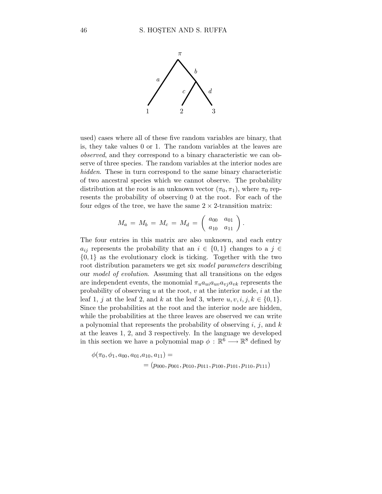

used) cases where all of these five random variables are binary, that is, they take values 0 or 1. The random variables at the leaves are observed, and they correspond to a binary characteristic we can observe of three species. The random variables at the interior nodes are hidden. These in turn correspond to the same binary characteristic of two ancestral species which we cannot observe. The probability distribution at the root is an unknown vector  $(\pi_0, \pi_1)$ , where  $\pi_0$  represents the probability of observing 0 at the root. For each of the four edges of the tree, we have the same  $2 \times 2$ -transition matrix:

$$
M_a = M_b = M_c = M_d = \left(\begin{array}{cc} a_{00} & a_{01} \\ a_{10} & a_{11} \end{array}\right).
$$

The four entries in this matrix are also unknown, and each entry  $a_{ij}$  represents the probability that an  $i \in \{0,1\}$  changes to a  $j \in$  $\{0,1\}$  as the evolutionary clock is ticking. Together with the two root distribution parameters we get six model parameters describing our model of evolution. Assuming that all transitions on the edges are independent events, the monomial  $\pi_u a_{ui} a_{uv} a_{vi} a_{vk}$  represents the probability of observing u at the root, v at the interior node, i at the leaf 1, j at the leaf 2, and k at the leaf 3, where  $u, v, i, j, k \in \{0, 1\}$ . Since the probabilities at the root and the interior node are hidden, while the probabilities at the three leaves are observed we can write a polynomial that represents the probability of observing  $i, j$ , and  $k$ at the leaves 1, 2, and 3 respectively. In the language we developed in this section we have a polynomial map  $\phi : \mathbb{R}^6 \longrightarrow \mathbb{R}^8$  defined by

$$
\phi(\pi_0, \phi_1, a_{00}, a_{01}, a_{10}, a_{11}) =
$$
  
=  $(p_{000}, p_{001}, p_{010}, p_{011}, p_{100}, p_{101}, p_{110}, p_{111})$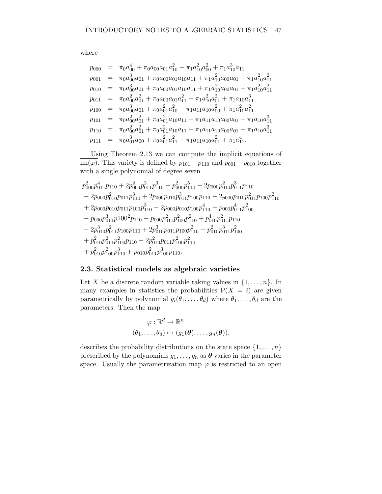where

$$
p_{000} = \pi_0 a_{00}^4 + \pi_0 a_{00} a_{01} a_{10}^2 + \pi_1 a_{10}^2 a_{00}^2 + \pi_1 a_{10}^3 a_{11}
$$
  
\n
$$
p_{001} = \pi_0 a_{00}^3 a_{01} + \pi_0 a_{00} a_{01} a_{10} a_{11} + \pi_1 a_{10}^2 a_{00} a_{01} + \pi_1 a_{10}^2 a_{11}^2
$$
  
\n
$$
p_{010} = \pi_0 a_{00}^3 a_{01} + \pi_0 a_{00} a_{01} a_{10} a_{11} + \pi_1 a_{10}^2 a_{00} a_{01} + \pi_1 a_{10}^2 a_{11}^2
$$
  
\n
$$
p_{011} = \pi_0 a_{00}^3 a_{01}^2 + \pi_0 a_{00} a_{01} a_{11}^2 + \pi_1 a_{10}^2 a_{01}^2 + \pi_1 a_{10} a_{11}^3
$$
  
\n
$$
p_{100} = \pi_0 a_{00}^3 a_{01} + \pi_0 a_{01}^2 a_{10}^2 + \pi_1 a_{11} a_{10} a_{00}^2 + \pi_1 a_{10}^2 a_{11}^2
$$
  
\n
$$
p_{101} = \pi_0 a_{00}^2 a_{01}^2 + \pi_0 a_{01}^2 a_{10} a_{11} + \pi_1 a_{11} a_{10} a_{00} a_{01} + \pi_1 a_{10} a_{11}^3
$$
  
\n
$$
p_{110} = \pi_0 a_{01}^3 a_{00} + \pi_0 a_{01}^2 a_{11}^2 + \pi_1 a_{11} a_{10} a_{00} a_{01} + \pi_1 a_{10} a_{11}^3
$$
  
\n
$$
p_{111} = \pi_0 a_{01}^3 a_{00} + \pi_0 a_{01}^2 a_{11}^2 + \pi_1 a_{11} a_{10} a_{01}^2 + \pi_1 a_{11}^4.
$$

Using Theorem 2.13 we can compute the implicit equations of im( $\varphi$ ). This variety is defined by  $p_{101} - p_{110}$  and  $p_{001} - p_{010}$  together with a single polynomial of degree seven

$$
p_{000}^2 p_{011}^4 p_{110} + 2p_{000}^2 p_{011}^2 p_{110}^3 + p_{000}^2 p_{110}^5 - 2p_{000} p_{010}^2 p_{011}^3 p_{110} - 2p_{000} p_{010}^2 p_{011}^2 p_{110} - 2p_{000} p_{010}^2 p_{010}^2 p_{110}^2 + 2p_{000} p_{011} p_{100} p_{110}^3 - 2p_{000} p_{010} p_{110}^2 - p_{000} p_{011}^4 p_{100}^2 - p_{000} p_{011}^3 p_{100}^2 p_{110}^2 - p_{000} p_{011}^3 p_{100}^2 p_{110}^2 + p_{010}^4 p_{011}^2 p_{110}^2 - 2p_{010}^3 p_{011}^2 p_{100} p_{110}^2 + 2p_{010}^3 p_{011}^2 p_{100}^2 + p_{010}^2 p_{011}^3 p_{100}^2 + p_{010}^2 p_{011}^2 p_{100}^2 p_{110}^2 + p_{010}^2 p_{011}^2 p_{100}^2 p_{110}^2 + p_{010}^2 p_{100}^2 p_{110}^2 + p_{010}^2 p_{100}^2 p_{110}^2 + p_{010}^2 p_{100}^2 p_{110}^2 + p_{010}^2 p_{100}^2 p_{110}^2 + p_{010}^2 p_{100}^2 p_{110}^2 + p_{010}^2 p_{100}^2 p_{110}^2
$$

# 2.3. Statistical models as algebraic varieties

Let X be a discrete random variable taking values in  $\{1,\ldots,n\}$ . In many examples in statistics the probabilities  $P(X = i)$  are given parametrically by polynomial  $g_i(\theta_1,\ldots,\theta_d)$  where  $\theta_1,\ldots,\theta_d$  are the parameters. Then the map

$$
\varphi: \mathbb{R}^d \to \mathbb{R}^n
$$
  

$$
(\theta_1, \ldots, \theta_d) \mapsto (g_1(\boldsymbol{\theta}), \ldots, g_n(\boldsymbol{\theta})).
$$

describes the probability distributions on the state space  $\{1,\ldots,n\}$ prescribed by the polynomials  $g_1, \ldots, g_n$  as  $\theta$  varies in the parameter space. Usually the parametrization map  $\varphi$  is restricted to an open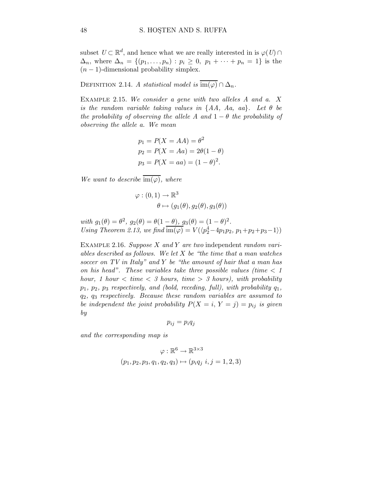subset  $U \subset \mathbb{R}^d$ , and hence what we are really interested in is  $\varphi(U) \cap$  $\Delta_n$ , where  $\Delta_n = \{(p_1, ..., p_n) : p_i \geq 0, p_1 + \cdots + p_n = 1\}$  is the  $(n-1)$ -dimensional probability simplex.

DEFINITION 2.14. A statistical model is  $\overline{\text{im}(\varphi)} \cap \Delta_n$ .

EXAMPLE 2.15. We consider a gene with two alleles  $A$  and  $a$ .  $X$ is the random variable taking values in  $\{AA, Aa, aa\}$ . Let  $\theta$  be the probability of observing the allele A and  $1 - \theta$  the probability of observing the allele a. We mean

$$
p_1 = P(X = AA) = \theta^2
$$
  
\n
$$
p_2 = P(X = Aa) = 2\theta(1 - \theta)
$$
  
\n
$$
p_3 = P(X = aa) = (1 - \theta)^2.
$$

We want to describe  $\overline{\mathrm{im}(\varphi)}$ , where

$$
\varphi : (0,1) \to \mathbb{R}^3
$$

$$
\theta \mapsto (g_1(\theta), g_2(\theta), g_3(\theta))
$$

with  $g_1(\theta) = \theta^2$ ,  $g_2(\theta) = \theta(1 - \theta)$ ,  $g_3(\theta) = (1 - \theta)^2$ . Using Theorem 2.13, we find  $\overline{\text{im}(\varphi)} = V(\langle p_2^4 - 4p_1p_2, p_1 + p_2 + p_3 - 1 \rangle)$ 

EXAMPLE 2.16. Suppose X and Y are two independent random variables described as follows. We let  $X$  be "the time that a man watches" soccer on TV in Italy" and Y be "the amount of hair that a man has on his head". These variables take three possible values (time  $\lt 1$ hour, 1 hour  $\langle$  time  $\langle$  3 hours, time  $\rangle$  3 hours), with probability  $p_1, p_2, p_3$  respectively, and (bold, receding, full), with probability  $q_1$ , q2, q<sup>3</sup> respectively. Because these random variables are assumed to be independent the joint probability  $P(X = i, Y = j) = p_{ij}$  is given by

$$
p_{ij}=p_iq_j
$$

and the corresponding map is

$$
\varphi : \mathbb{R}^6 \to \mathbb{R}^{3 \times 3}
$$
  
(p<sub>1</sub>, p<sub>2</sub>, p<sub>3</sub>, q<sub>1</sub>, q<sub>2</sub>, q<sub>3</sub>)  $\mapsto$  (p<sub>i</sub>q<sub>j</sub> i, j = 1, 2, 3)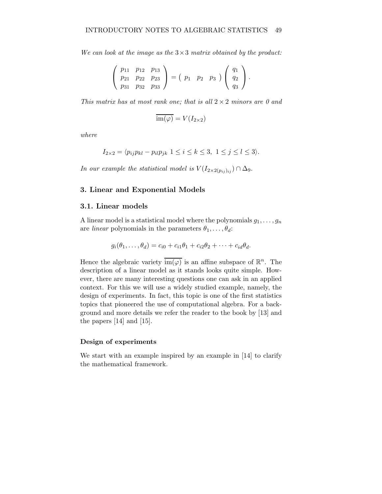We can look at the image as the  $3\times3$  matrix obtained by the product:

$$
\left(\begin{array}{ccc} p_{11} & p_{12} & p_{13} \\ p_{21} & p_{22} & p_{23} \\ p_{31} & p_{32} & p_{33} \end{array}\right) = \left(\begin{array}{ccc} p_1 & p_2 & p_3 \end{array}\right) \left(\begin{array}{c} q_1 \\ q_2 \\ q_3 \end{array}\right).
$$

This matrix has at most rank one; that is all  $2 \times 2$  minors are 0 and

$$
\overline{\mathrm{im}(\varphi)}=V(I_{2\times 2})
$$

where

$$
I_{2\times 2} = \langle p_{ij}p_{kl} - p_{il}p_{jk} \ 1 \le i \le k \le 3, \ 1 \le j \le l \le 3 \rangle.
$$

In our example the statistical model is  $V(I_{2\times 2(p_{ij})_{ij}}) \cap \Delta_9$ .

# 3. Linear and Exponential Models

## 3.1. Linear models

A linear model is a statistical model where the polynomials  $g_1, \ldots, g_n$ are *linear* polynomials in the parameters  $\theta_1, \ldots, \theta_d$ :

$$
g_i(\theta_1,\ldots,\theta_d)=c_{i0}+c_{i1}\theta_1+c_{i2}\theta_2+\cdots+c_{id}\theta_d.
$$

Hence the algebraic variety  $\overline{\mathrm{im}(\varphi)}$  is an affine subspace of  $\mathbb{R}^n$ . The description of a linear model as it stands looks quite simple. However, there are many interesting questions one can ask in an applied context. For this we will use a widely studied example, namely, the design of experiments. In fact, this topic is one of the first statistics topics that pioneered the use of computational algebra. For a background and more details we refer the reader to the book by [13] and the papers [14] and [15].

#### Design of experiments

We start with an example inspired by an example in [14] to clarify the mathematical framework.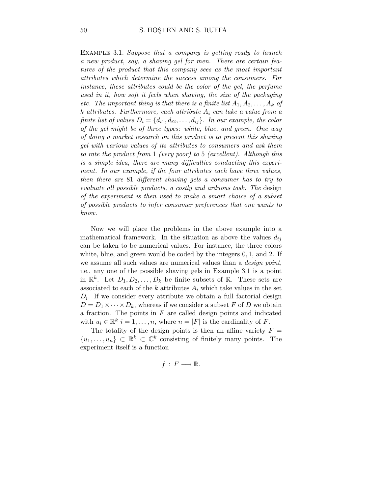EXAMPLE 3.1. Suppose that a company is getting ready to launch a new product, say, a shaving gel for men. There are certain features of the product that this company sees as the most important attributes which determine the success among the consumers. For instance, these attributes could be the color of the gel, the perfume used in it, how soft it feels when shaving, the size of the packaging etc. The important thing is that there is a finite list  $A_1, A_2, \ldots, A_k$  of k attributes. Furthermore, each attribute  $A_i$  can take a value from a finite list of values  $D_i = \{d_{i1}, d_{i2}, \ldots, d_{ij}\}\$ . In our example, the color of the gel might be of three types: white, blue, and green. One way of doing a market research on this product is to present this shaving gel with various values of its attributes to consumers and ask them to rate the product from 1 (very poor) to 5 (excellent). Although this is a simple idea, there are many difficulties conducting this experiment. In our example, if the four attributes each have three values, then there are 81 different shaving gels a consumer has to try to evaluate all possible products, a costly and arduous task. The design of the experiment is then used to make a smart choice of a subset of possible products to infer consumer preferences that one wants to know.

Now we will place the problems in the above example into a mathematical framework. In the situation as above the values  $d_{ij}$ can be taken to be numerical values. For instance, the three colors white, blue, and green would be coded by the integers  $0, 1$ , and  $2$ . If we assume all such values are numerical values than a *design point*, i.e., any one of the possible shaving gels in Example 3.1 is a point in  $\mathbb{R}^k$ . Let  $D_1, D_2, \ldots, D_k$  be finite subsets of  $\mathbb{R}$ . These sets are associated to each of the  $k$  attributes  $A_i$  which take values in the set  $D_i$ . If we consider every attribute we obtain a full factorial design  $D = D_1 \times \cdots \times D_k$ , whereas if we consider a subset F of D we obtain a fraction. The points in  $F$  are called design points and indicated with  $u_i \in \mathbb{R}^k$   $i = 1, ..., n$ , where  $n = |F|$  is the cardinality of F.

The totality of the design points is then an affine variety  $F =$  $\{u_1,\ldots,u_n\} \subset \mathbb{R}^k \subset \mathbb{C}^k$  consisting of finitely many points. The experiment itself is a function

$$
f\,:\,F\longrightarrow\mathbb{R}.
$$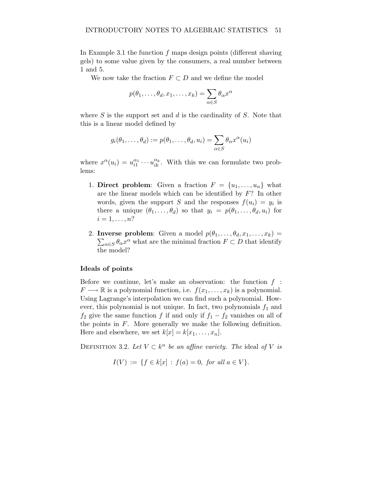In Example 3.1 the function  $f$  maps design points (different shaving gels) to some value given by the consumers, a real number between 1 and 5.

We now take the fraction  $F \subset D$  and we define the model

$$
p(\theta_1,\ldots,\theta_d,x_1,\ldots,x_k)=\sum_{\alpha\in S}\theta_\alpha x^\alpha
$$

where  $S$  is the support set and  $d$  is the cardinality of  $S$ . Note that this is a linear model defined by

$$
g_i(\theta_1,\ldots,\theta_d) := p(\theta_1,\ldots,\theta_d,u_i) = \sum_{\alpha \in S} \theta_\alpha x^\alpha(u_i)
$$

where  $x^{\alpha}(u_i) = u_{i1}^{\alpha_1} \cdots u_{ik}^{\alpha_k}$ . With this we can formulate two problems:

- 1. Direct problem: Given a fraction  $F = \{u_1, \ldots, u_n\}$  what are the linear models which can be identified by F? In other words, given the support S and the responses  $f(u_i) = y_i$  is there a unique  $(\theta_1,\ldots,\theta_d)$  so that  $y_i = p(\theta_1,\ldots,\theta_d,u_i)$  for  $i=1,\ldots,n?$
- 2. Inverse problem: Given a model  $p(\theta_1,\ldots,\theta_d,x_1,\ldots,x_k)$  =  $\sum_{\alpha \in S} \theta_{\alpha} x^{\alpha}$  what are the minimal fraction  $F \subset D$  that identify the model?

#### Ideals of points

Before we continue, let's make an observation: the function  $f$ :  $F \longrightarrow \mathbb{R}$  is a polynomial function, i.e.  $f(x_1, \ldots, x_k)$  is a polynomial. Using Lagrange's interpolation we can find such a polynomial. However, this polynomial is not unique. In fact, two polynomials  $f_1$  and  $f_2$  give the same function f if and only if  $f_1 - f_2$  vanishes on all of the points in  $F$ . More generally we make the following definition. Here and elsewhere, we set  $k[x] = k[x_1, \ldots, x_n]$ .

DEFINITION 3.2. Let  $V \subset k^n$  be an affine variety. The ideal of V is

$$
I(V) := \{ f \in k[x] : f(a) = 0, \text{ for all } a \in V \}.
$$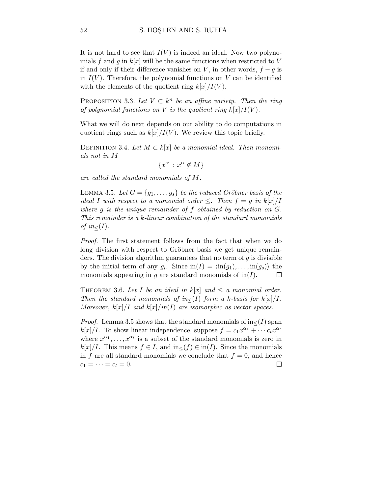It is not hard to see that  $I(V)$  is indeed an ideal. Now two polynomials f and g in  $k[x]$  will be the same functions when restricted to V if and only if their difference vanishes on V, in other words,  $f - g$  is in  $I(V)$ . Therefore, the polynomial functions on V can be identified with the elements of the quotient ring  $k[x]/I(V)$ .

PROPOSITION 3.3. Let  $V \subset k^n$  be an affine variety. Then the ring of polynomial functions on V is the quotient ring  $k[x]/I(V)$ .

What we will do next depends on our ability to do computations in quotient rings such as  $k[x]/I(V)$ . We review this topic briefly.

DEFINITION 3.4. Let  $M \subset k[x]$  be a monomial ideal. Then monomials not in M

$$
\{x^{\alpha} \,:\, x^{\alpha} \notin M\}
$$

are called the standard monomials of M.

LEMMA 3.5. Let  $G = \{g_1, \ldots, g_s\}$  be the reduced Gröbner basis of the ideal I with respect to a monomial order  $\leq$ . Then  $f = g$  in  $k[x]/I$ where g is the unique remainder of f obtained by reduction on G. This remainder is a k-linear combination of the standard monomials of in $\lt(I)$ .

Proof. The first statement follows from the fact that when we do long division with respect to Gröbner basis we get unique remainders. The division algorithm guarantees that no term of  $q$  is divisible by the initial term of any  $g_i$ . Since  $\text{in}(I) = \langle \text{in}(g_1), \ldots, \text{in}(g_s) \rangle$  the monomials appearing in g are standard monomials of  $\text{in}(I)$ .  $\Box$ 

THEOREM 3.6. Let I be an ideal in  $k[x]$  and  $\leq a$  monomial order. Then the standard monomials of in< $(I)$  form a k-basis for  $k[x]/I$ . Moreover,  $k[x]/I$  and  $k[x]/in(I)$  are isomorphic as vector spaces.

*Proof.* Lemma 3.5 shows that the standard monomials of  $in<(I)$  span  $k[x]/I$ . To show linear independence, suppose  $f = c_1 x^{\alpha_1} + \cdots + c_t x^{\alpha_t}$ where  $x^{\alpha_1}, \ldots, x^{\alpha_t}$  is a subset of the standard monomials is zero in  $k[x]/I$ . This means  $f \in I$ , and  $\text{in}<(f) \in \text{in}(I)$ . Since the monomials in f are all standard monomials we conclude that  $f = 0$ , and hence  $c_1 = \cdots = c_t = 0.$  $\Box$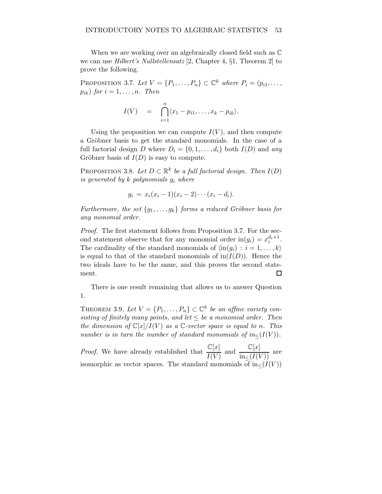When we are working over an algebraically closed field such as  $\mathbb C$ we can use Hilbert's Nullstellensatz [2, Chapter 4, §1, Theorem 2] to prove the following.

PROPOSITION 3.7. Let  $V = \{P_1, \ldots, P_n\} \subset \mathbb{C}^k$  where  $P_i = (p_{i1}, \ldots, p_{i1})$  $p_{ik}$ ) for  $i = 1, \ldots, n$ . Then

$$
I(V) = \bigcap_{i=1}^n \langle x_1 - p_{i1}, \ldots, x_k - p_{ik} \rangle.
$$

Using the proposition we can compute  $I(V)$ , and then compute a Gröbner basis to get the standard monomials. In the case of a full factorial design D where  $D_i = \{0, 1, ..., d_i\}$  both  $I(D)$  and any Gröbner basis of  $I(D)$  is easy to compute.

PROPOSITION 3.8. Let  $D \subset \mathbb{R}^k$  be a full factorial design. Then  $I(D)$ is generated by  $k$  polynomials  $g_i$  where

$$
g_i = x_i(x_i - 1)(x_i - 2) \cdots (x_i - d_i).
$$

Furthermore, the set  ${g_1, \ldots, g_k}$  forms a reduced Gröbner basis for any monomal order.

Proof. The first statement follows from Proposition 3.7. For the second statement observe that for any monomial order  $\text{in}(g_i) = x_i^{d_i+1}$ . The cardinality of the standard monomials of  $\langle \text{in}(q_i) : i = 1, \ldots, k \rangle$ is equal to that of the standard monomials of  $\text{in}(I(D))$ . Hence the two ideals have to be the same, and this proves the second statement.  $\Box$ 

There is one result remaining that allows us to answer Question 1.

THEOREM 3.9. Let  $V = \{P_1, \ldots, P_n\} \subset \mathbb{C}^k$  be an affine variety consisting of finitely many points, and let  $\leq$  be a monomial order. Then the dimension of  $\mathbb{C}[x]/I(V)$  as a C-vector space is equal to n. This number is in turn the number of standard monomials of  $in<(I(V))$ .

*Proof.* We have already established that  $\frac{\mathbb{C}[x]}{I(V)}$  and  $\frac{\mathbb{C}[x]}{\ln \leq (I(V))}$  are isomorphic as vector spaces. The standard monomials of  $\text{in} \langle I(V) \rangle$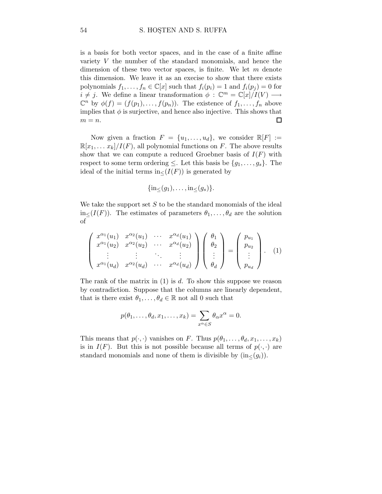is a basis for both vector spaces, and in the case of a finite affine variety V the number of the standard monomials, and hence the dimension of these two vector spaces, is finite. We let  $m$  denote this dimension. We leave it as an execise to show that there exists polynomials  $f_1, \ldots, f_n \in \mathbb{C}[x]$  such that  $f_i(p_i) = 1$  and  $f_i(p_j) = 0$  for  $i \neq j$ . We define a linear transformation  $\phi : \mathbb{C}^m = \mathbb{C}[x]/I(V) \longrightarrow$  $\mathbb{C}^n$  by  $\phi(f) = (f(p_1), \ldots, f(p_n))$ . The existence of  $f_1, \ldots, f_n$  above implies that  $\phi$  is surjective, and hence also injective. This shows that  $m = n$ .  $\Box$ 

Now given a fraction  $F = \{u_1, \ldots, u_d\}$ , we consider  $\mathbb{R}[F] :=$  $\mathbb{R}[x_1,\ldots,x_k]/I(F)$ , all polynomial functions on F. The above results show that we can compute a reduced Groebner basis of  $I(F)$  with respect to some term ordering  $\leq$ . Let this basis be  $\{g_1, \ldots, g_s\}$ . The ideal of the initial terms in $\langle I(F) \rangle$  is generated by

$$
\{\operatorname{in}_{\leq}(g_1),\ldots,\operatorname{in}_{\leq}(g_s)\}.
$$

We take the support set  $S$  to be the standard monomials of the ideal  $\text{in}_{\leq}(I(F))$ . The estimates of parameters  $\theta_1,\ldots,\theta_d$  are the solution of

$$
\begin{pmatrix}\nx^{\alpha_1}(u_1) & x^{\alpha_2}(u_1) & \cdots & x^{\alpha_d}(u_1) \\
x^{\alpha_1}(u_2) & x^{\alpha_2}(u_2) & \cdots & x^{\alpha_d}(u_2) \\
\vdots & \vdots & \ddots & \vdots \\
x^{\alpha_1}(u_d) & x^{\alpha_2}(u_d) & \cdots & x^{\alpha_d}(u_d)\n\end{pmatrix}\n\begin{pmatrix}\n\theta_1 \\
\theta_2 \\
\vdots \\
\theta_d\n\end{pmatrix} = \begin{pmatrix}\np_{u_1} \\
p_{u_2} \\
\vdots \\
p_{u_d}\n\end{pmatrix}.
$$
\n(1)

The rank of the matrix in  $(1)$  is d. To show this suppose we reason by contradiction. Suppose that the columns are linearly dependent, that is there exist  $\theta_1, \ldots, \theta_d \in \mathbb{R}$  not all 0 such that

$$
p(\theta_1,\ldots,\theta_d,x_1,\ldots,x_k)=\sum_{x^{\alpha}\in S}\theta_{\alpha}x^{\alpha}=0.
$$

This means that  $p(\cdot, \cdot)$  vanishes on F. Thus  $p(\theta_1, \ldots, \theta_d, x_1, \ldots, x_k)$ is in  $I(F)$ . But this is not possible because all terms of  $p(\cdot, \cdot)$  are standard monomials and none of them is divisible by  $(in<(g_i))$ .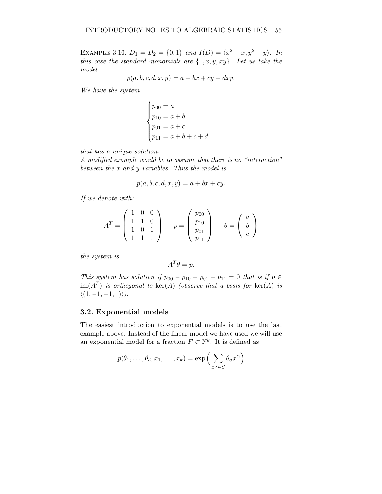EXAMPLE 3.10.  $D_1 = D_2 = \{0, 1\}$  and  $I(D) = \langle x^2 - x, y^2 - y \rangle$ . In this case the standard monomials are  $\{1, x, y, xy\}$ . Let us take the model

$$
p(a, b, c, d, x, y) = a + bx + cy + dxy.
$$

We have the system

$$
\begin{cases}\np_{00} = a \\
p_{10} = a + b \\
p_{01} = a + c \\
p_{11} = a + b + c + d\n\end{cases}
$$

that has a unique solution.

A modified example would be to assume that there is no "interaction" between the x and y variables. Thus the model is

$$
p(a, b, c, d, x, y) = a + bx + cy.
$$

If we denote with:

$$
AT = \begin{pmatrix} 1 & 0 & 0 \\ 1 & 1 & 0 \\ 1 & 0 & 1 \\ 1 & 1 & 1 \end{pmatrix} \qquad p = \begin{pmatrix} p_{00} \\ p_{10} \\ p_{01} \\ p_{11} \end{pmatrix} \qquad \theta = \begin{pmatrix} a \\ b \\ c \end{pmatrix}
$$

the system is

$$
A^T \theta = p.
$$

This system has solution if  $p_{00} - p_{10} - p_{01} + p_{11} = 0$  that is if  $p \in$  $\text{im}(A^T)$  is orthogonal to  $\text{ker}(A)$  (observe that a basis for  $\text{ker}(A)$  is  $\langle (1, -1, -1, 1) \rangle$ .

# 3.2. Exponential models

The easiest introduction to exponential models is to use the last example above. Instead of the linear model we have used we will use an exponential model for a fraction  $F \subset \mathbb{N}^k$ . It is defined as

$$
p(\theta_1,\ldots,\theta_d,x_1,\ldots,x_k) = \exp\left(\sum_{x^{\alpha}\in S} \theta_{\alpha} x^{\alpha}\right)
$$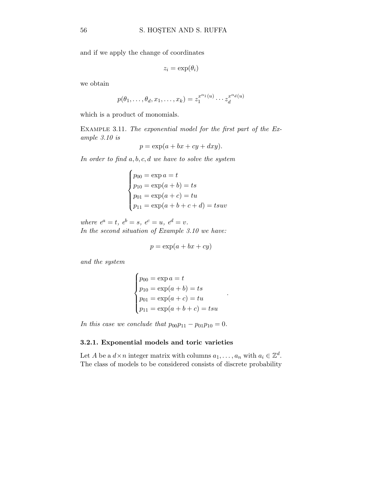and if we apply the change of coordinates

$$
z_i = \exp(\theta_i)
$$

we obtain

$$
p(\theta_1, \ldots, \theta_d, x_1, \ldots, x_k) = z_1^{x^{\alpha_1}(u)} \cdots z_d^{x^{\alpha_d}(u)}
$$

which is a product of monomials.

 $\overline{ }$ 

Example 3.11. The exponential model for the first part of the Example 3.10 is

$$
p = \exp(a + bx + cy + dxy).
$$

In order to find  $a, b, c, d$  we have to solve the system

$$
\begin{cases}\np_{00} = \exp a = t \\
p_{10} = \exp(a+b) = ts \\
p_{01} = \exp(a+c) = tu \\
p_{11} = \exp(a+b+c+d) = tsuv\n\end{cases}
$$

where  $e^a = t$ ,  $e^b = s$ ,  $e^c = u$ ,  $e^d = v$ . In the second situation of Example 3.10 we have:

$$
p = \exp(a + bx + cy)
$$

and the system

$$
\begin{cases}\np_{00} = \exp a = t \\
p_{10} = \exp(a + b) = ts \\
p_{01} = \exp(a + c) = tu \\
p_{11} = \exp(a + b + c) = tsu\n\end{cases}
$$

.

In this case we conclude that  $p_{00}p_{11} - p_{01}p_{10} = 0$ .

## 3.2.1. Exponential models and toric varieties

Let A be a  $d \times n$  integer matrix with columns  $a_1, \ldots, a_n$  with  $a_i \in \mathbb{Z}^d$ . The class of models to be considered consists of discrete probability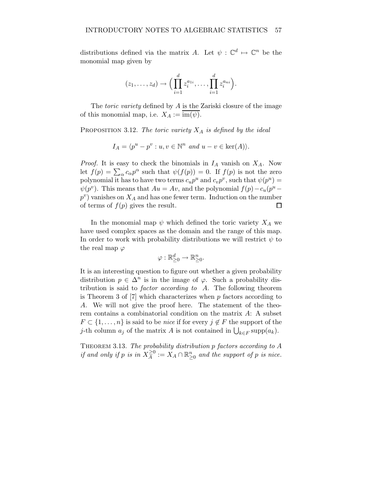distributions defined via the matrix A. Let  $\psi : \mathbb{C}^d \mapsto \mathbb{C}^n$  be the monomial map given by

$$
(z_1,\ldots,z_d)\rightarrow \Big(\prod_{i=1}^d z_i^{a_{1i}},\ldots,\prod_{i=1}^d z_i^{a_{ni}}\Big).
$$

The *toric variety* defined by A is the Zariski closure of the image of this monomial map, i.e.  $X_A := \overline{\text{im}(\psi)}$ .

PROPOSITION 3.12. The toric variety  $X_A$  is defined by the ideal

$$
I_A = \langle p^u - p^v : u, v \in \mathbb{N}^n \text{ and } u - v \in \text{ker}(A) \rangle.
$$

*Proof.* It is easy to check the binomials in  $I_A$  vanish on  $X_A$ . Now let  $f(p) = \sum_{\alpha} c_{\alpha} p^{\alpha}$  such that  $\psi(f(p)) = 0$ . If  $f(p)$  is not the zero polynomial it has to have two terms  $c_u p^u$  and  $c_v p^v$ , such that  $\psi(p^u) =$  $\psi(p^v)$ . This means that  $Au = Av$ , and the polynomial  $f(p) - c_u(p^u$  $p^v$ ) vanishes on  $X_A$  and has one fewer term. Induction on the number of terms of  $f(p)$  gives the result.  $\Box$ 

In the monomial map  $\psi$  which defined the toric variety  $X_A$  we have used complex spaces as the domain and the range of this map. In order to work with probability distributions we will restrict  $\psi$  to the real map  $\varphi$ 

$$
\varphi: \mathbb{R}_{\geq 0}^d \to \mathbb{R}_{\geq 0}^n.
$$

It is an interesting question to figure out whether a given probability distribution  $p \in \Delta^n$  is in the image of  $\varphi$ . Such a probability distribution is said to factor according to A. The following theorem is Theorem 3 of  $[7]$  which characterizes when p factors according to A. We will not give the proof here. The statement of the theorem contains a combinatorial condition on the matrix A: A subset  $F \subset \{1,\ldots,n\}$  is said to be *nice* if for every  $j \notin F$  the support of the j-th column  $a_j$  of the matrix A is not contained in  $\bigcup_{k \in F} \text{supp}(a_k)$ .

THEOREM 3.13. The probability distribution p factors according to A if and only if p is in  $X_A^{\geq 0}$  $\frac{\geq 0}{A} := X_A \cap \mathbb{R}_{\geq 0}^n$  and the support of p is nice.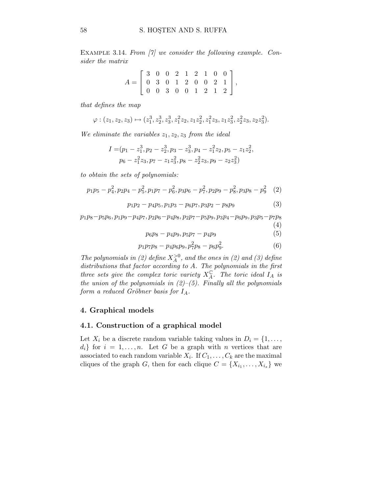EXAMPLE 3.14. From [7] we consider the following example. Consider the matrix

$$
A = \left[ \begin{array}{rrrrrr} 3 & 0 & 0 & 2 & 1 & 2 & 1 & 0 & 0 \\ 0 & 3 & 0 & 1 & 2 & 0 & 0 & 2 & 1 \\ 0 & 0 & 3 & 0 & 0 & 1 & 2 & 1 & 2 \end{array} \right],
$$

that defines the map

$$
\varphi: (z_1,z_2,z_3) \mapsto (z_1^3, z_2^3, z_3^3, z_1^2z_2, z_1z_2^2, z_1^2z_3, z_1z_3^2, z_2^2z_3, z_2z_3^2).
$$

We eliminate the variables  $z_1, z_2, z_3$  from the ideal

$$
I = (p_1 - z_1^3, p_2 - z_2^3, p_3 - z_3^3, p_4 - z_1^2 z_2, p_5 - z_1 z_2^2,
$$
  

$$
p_6 - z_1^2 z_3, p_7 - z_1 z_3^2, p_8 - z_2^2 z_3, p_9 - z_2 z_3^2)
$$

to obtain the sets of polynomials:

$$
p_1p_5 - p_4^2, p_2p_4 - p_5^2, p_1p_7 - p_6^2, p_3p_6 - p_7^2, p_2p_9 - p_8^2, p_3p_8 - p_9^2 \quad (2)
$$

$$
p_1p_2 - p_4p_5, p_1p_3 - p_6p_7, p_3p_2 - p_8p_9 \tag{3}
$$

 $p_1p_8-p_5p_6, p_1p_9-p_4p_7, p_2p_6-p_4p_8, p_2p_7-p_5p_9, p_3p_4-p_6p_9, p_3p_5-p_7p_8$ (4)

$$
p_6p_8 - p_4p_9, p_5p_7 - p_4p_9 \tag{5}
$$

$$
p_1p_7p_8 - p_4p_6p_9, p_7^2p_8 - p_6p_9^2. \tag{6}
$$

The polynomials in (2) define  $X_A^{>0}$ , and the ones in (2) and (3) define distributions that factor according to A. The polynomials in the first three sets give the complex toric variety  $X_A^{\mathbb{C}}$ . The toric ideal  $I_A$  is the union of the polynomials in  $(2)-(5)$ . Finally all the polynomials form a reduced Gröbner basis for  $I_A$ .

#### 4. Graphical models

## 4.1. Construction of a graphical model

Let  $X_i$  be a discrete random variable taking values in  $D_i = \{1, \ldots,$  $d_i$  for  $i = 1, \ldots, n$ . Let G be a graph with n vertices that are associated to each random variable  $X_i$ . If  $C_1, \ldots, C_k$  are the maximal cliques of the graph G, then for each clique  $C = \{X_{i_1}, \ldots, X_{i_s}\}\$  we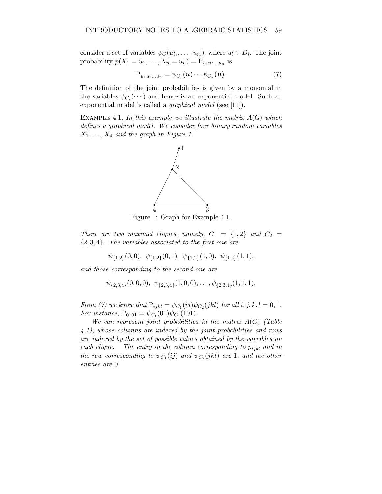consider a set of variables  $\psi_C(u_{i_1}, \ldots, u_{i_s})$ , where  $u_i \in D_i$ . The joint probability  $p(X_1 = u_1, ..., X_n = u_n) = P_{u_1 u_2 ... u_n}$  is

$$
P_{u_1u_2...u_n} = \psi_{C_1}(\boldsymbol{u}) \cdots \psi_{C_k}(\boldsymbol{u}). \tag{7}
$$

The definition of the joint probabilities is given by a monomial in the variables  $\psi_{C_i}(\cdots)$  and hence is an exponential model. Such an exponential model is called a *graphical model* (see [11]).

EXAMPLE 4.1. In this example we illustrate the matrix  $A(G)$  which defines a graphical model. We consider four binary random variables  $X_1, \ldots, X_4$  and the graph in Figure 1.



Figure 1: Graph for Example 4.1.

There are two maximal cliques, namely,  $C_1 = \{1,2\}$  and  $C_2 =$  $\{2,3,4\}$ . The variables associated to the first one are

$$
\psi_{\{1,2\}}(0,0), \psi_{\{1,2\}}(0,1), \psi_{\{1,2\}}(1,0), \psi_{\{1,2\}}(1,1),
$$

and those corresponding to the second one are

$$
\psi_{\{2,3,4\}}(0,0,0), \psi_{\{2,3,4\}}(1,0,0), \ldots, \psi_{\{2,3,4\}}(1,1,1).
$$

From (7) we know that  $P_{ijkl} = \psi_{C_1}(ij)\psi_{C_2}(jkl)$  for all  $i, j, k, l = 0, 1$ . For instance,  $P_{0101} = \psi_{C_1}(01)\psi_{C_2}(101)$ .

We can represent joint probabilities in the matrix  $A(G)$  (Table 4.1), whose columns are indexed by the joint probabilities and rows are indexed by the set of possible values obtained by the variables on each clique. The entry in the column corresponding to  $p_{ijkl}$  and in the row corresponding to  $\psi_{C_1}(ij)$  and  $\psi_{C_2}(jkl)$  are 1, and the other entries are 0.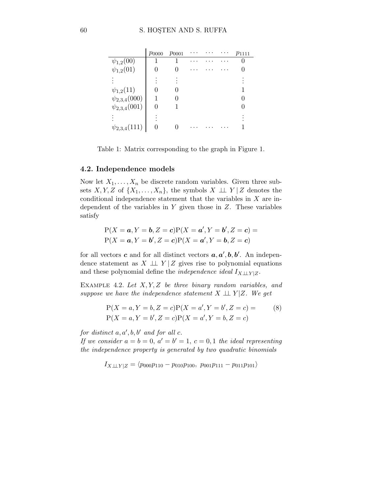|                     | $p_{0000}$ | $p_{0001}$ |  | $p_{1111}$ |
|---------------------|------------|------------|--|------------|
| $\psi_{1,2}(00)$    |            |            |  |            |
| $\psi_{1,2}(01)$    |            |            |  |            |
|                     |            |            |  |            |
| $\psi_{1,2}(11)$    |            |            |  |            |
| $\psi_{2,3,4}(000)$ |            |            |  |            |
| $\psi_{2,3,4}(001)$ |            |            |  |            |
|                     |            |            |  |            |
| $\psi_{2,3,4}(111)$ |            |            |  |            |

Table 1: Matrix corresponding to the graph in Figure 1.

## 4.2. Independence models

Now let  $X_1, \ldots, X_n$  be discrete random variables. Given three subsets X, Y, Z of  $\{X_1,\ldots,X_n\}$ , the symbols  $X \perp \perp Y \mid Z$  denotes the conditional independence statement that the variables in  $X$  are independent of the variables in  $Y$  given those in  $Z$ . These variables satisfy

$$
P(X = a, Y = b, Z = c)P(X = a', Y = b', Z = c) =
$$
  
 
$$
P(X = a, Y = b', Z = c)P(X = a', Y = b, Z = c)
$$

for all vectors **c** and for all distinct vectors  $a, a', b, b'$ . An independence statement as  $X \perp \!\!\! \perp Y \mid Z$  gives rise to polynomial equations and these polynomial define the *independence ideal*  $I_{X\perp \perp Y|Z}$ .

EXAMPLE 4.2. Let  $X, Y, Z$  be three binary random variables, and suppose we have the independence statement  $X \perp \!\!\! \perp Y | Z$ . We get

$$
P(X = a, Y = b, Z = c)P(X = a', Y = b', Z = c) =
$$
  
\n
$$
P(X = a, Y = b', Z = c)P(X = a', Y = b, Z = c)
$$
\n(8)

 $\mathbf{r}$ 

for distinct  $a, a', b, b'$  and for all  $c$ .

If we consider  $a = b = 0, a' = b' = 1, c = 0, 1$  the ideal representing the independence property is generated by two quadratic binomials

$$
I_{X \perp \perp Y|Z} = \langle p_{000} p_{110} - p_{010} p_{100}, p_{001} p_{111} - p_{011} p_{101} \rangle
$$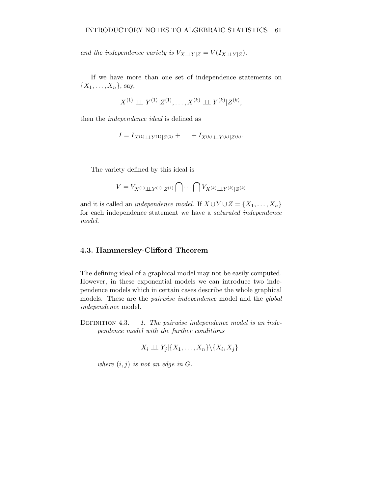and the independence variety is  $V_{X\perp \perp Y|Z} = V(I_{X\perp \perp Y|Z}).$ 

If we have more than one set of independence statements on  $\{X_1,\ldots,X_n\}$ , say,

$$
X^{(1)} \perp \!\!\! \perp Y^{(1)} | Z^{(1)}, \ldots, X^{(k)} \perp \!\!\! \perp Y^{(k)} | Z^{(k)},
$$

then the independence ideal is defined as

$$
I = I_{X^{(1)} \perp \perp Y^{(1)} \mid Z^{(1)}} + \ldots + I_{X^{(k)} \perp \perp Y^{(k)} \mid Z^{(k)}}.
$$

The variety defined by this ideal is

$$
V = V_{X^{(1)} \perp \perp Y^{(1)} \mid Z^{(1)}} \bigcap \cdots \bigcap V_{X^{(k)} \perp \perp Y^{(k)} \mid Z^{(k)}}
$$

and it is called an *independence model*. If  $X \cup Y \cup Z = \{X_1, \ldots, X_n\}$ for each independence statement we have a saturated independence model.

# 4.3. Hammersley-Clifford Theorem

The defining ideal of a graphical model may not be easily computed. However, in these exponential models we can introduce two independence models which in certain cases describe the whole graphical models. These are the pairwise independence model and the global independence model.

DEFINITION 4.3. 1. The pairwise independence model is an independence model with the further conditions

$$
X_i \perp \!\!\! \perp Y_j | \{X_1, \ldots, X_n\} \backslash \{X_i, X_j\}
$$

where  $(i, j)$  is not an edge in  $G$ .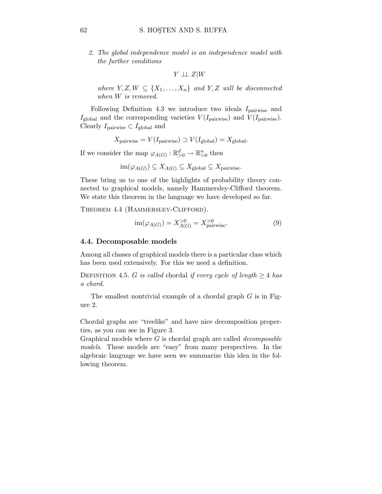2. The global independence model is an independence model with the further conditions

$$
Y \perp\!\!\!\perp Z | W
$$

where  $Y, Z, W \subseteq \{X_1, \ldots, X_n\}$  and  $Y, Z$  will be disconnected when W is removed.

Following Definition 4.3 we introduce two ideals  $I_{\text{pairwise}}$  and  $I_{\text{global}}$  and the corresponding varieties  $V(I_{\text{pairwise}})$  and  $V(I_{\text{pairwise}})$ . Clearly  $I_{\text{pairwise}} \subset I_{\text{global}}$  and

$$
X_{\text{pairwise}} = V(I_{\text{pairwise}}) \supset V(I_{\text{global}}) = X_{\text{global}}.
$$

If we consider the map  $\varphi_{A(G)} : \mathbb{R}^d_{>0} \to \mathbb{R}^n_{>0}$  then

$$
im(\varphi_{A(G)}) \subseteq X_{A(G)} \subseteq X_{\text{global}} \subseteq X_{\text{pairwise}}.
$$

These bring us to one of the highlights of probability theory connected to graphical models, namely Hammersley-Clifford theorem. We state this theorem in the language we have developed so far.

THEOREM 4.4 (HAMMERSLEY-CLIFFORD).

$$
\text{im}(\varphi_{A(G)}) = X_{A(G)}^{>0} = X_{\text{pairwise}}^{>0}.
$$
 (9)

#### 4.4. Decomposable models

Among all classes of graphical models there is a particular class which has been used extensively. For this we need a definition.

DEFINITION 4.5. G is called chordal if every cycle of length  $\geq 4$  has a chord.

The smallest nontrivial example of a chordal graph G is in Figure 2.

Chordal graphs are "treelike" and have nice decomposition properties, as you can see in Figure 3.

Graphical models where  $G$  is chordal graph are called *decomposable* models. These models are "easy" from many perspectives. In the algebraic language we have seen we summarize this idea in the following theorem.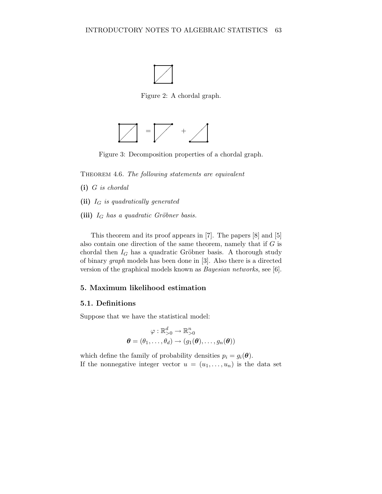

Figure 2: A chordal graph.



Figure 3: Decomposition properties of a chordal graph.

THEOREM 4.6. The following statements are equivalent

- (i) G is chordal
- (ii)  $I_G$  is quadratically generated
- (iii)  $I_G$  has a quadratic Gröbner basis.

This theorem and its proof appears in [7]. The papers [8] and [5] also contain one direction of the same theorem, namely that if  $G$  is chordal then  $I_G$  has a quadratic Gröbner basis. A thorough study of binary graph models has been done in [3]. Also there is a directed version of the graphical models known as Bayesian networks, see [6].

# 5. Maximum likelihood estimation

#### 5.1. Definitions

Suppose that we have the statistical model:

$$
\varphi : \mathbb{R}_{>0}^d \to \mathbb{R}_{>0}^n
$$

$$
\boldsymbol{\theta} = (\theta_1, \dots, \theta_d) \to (g_1(\boldsymbol{\theta}), \dots, g_n(\boldsymbol{\theta}))
$$

which define the family of probability densities  $p_i = g_i(\boldsymbol{\theta})$ . If the nonnegative integer vector  $u = (u_1, \ldots, u_n)$  is the data set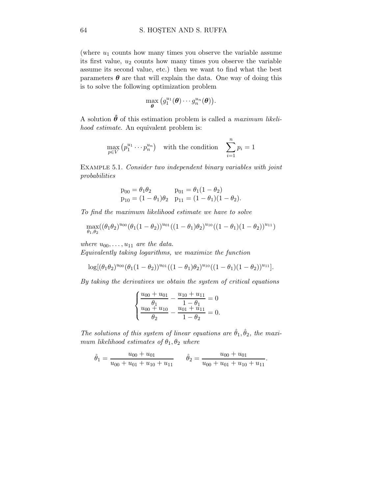(where  $u_1$  counts how many times you observe the variable assume its first value,  $u_2$  counts how many times you observe the variable assume its second value, etc.) then we want to find what the best parameters  $\theta$  are that will explain the data. One way of doing this is to solve the following optimization problem

$$
\max_{\boldsymbol{\theta}} \big(g_1^{u_1}(\boldsymbol{\theta}) \cdots g_n^{u_n}(\boldsymbol{\theta})\big).
$$

A solution  $\hat{\theta}$  of this estimation problem is called a *maximum likeli*hood estimate. An equivalent problem is:

$$
\max_{p \in V} (p_1^{u_1} \cdots p_n^{u_n}) \quad \text{with the condition} \quad \sum_{i=1}^n p_i = 1
$$

EXAMPLE 5.1. Consider two independent binary variables with joint probabilities

$$
p_{00} = \theta_1 \theta_2 \qquad p_{01} = \theta_1 (1 - \theta_2)
$$
  
\n
$$
p_{10} = (1 - \theta_1)\theta_2 \quad p_{11} = (1 - \theta_1)(1 - \theta_2).
$$

To find the maximum likelihood estimate we have to solve

$$
\max_{\theta_1, \theta_2} ((\theta_1 \theta_2)^{u_{00}} (\theta_1 (1 - \theta_2))^{u_{01}} ((1 - \theta_1) \theta_2)^{u_{10}} ((1 - \theta_1) (1 - \theta_2))^{u_{11}})
$$

where  $u_{00}, \ldots, u_{11}$  are the data.

Equivalently taking logarithms, we maximize the function

$$
\log[(\theta_1\theta_2)^{u_{00}}(\theta_1(1-\theta_2))^{u_{01}}((1-\theta_1)\theta_2)^{u_{10}}((1-\theta_1)(1-\theta_2))^{u_{11}}].
$$

By taking the derivatives we obtain the system of critical equations

$$
\begin{cases}\n\frac{u_{00} + u_{01}}{\theta_1} - \frac{u_{10} + u_{11}}{1 - \theta_1} = 0\\ \n\frac{u_{00} + u_{10}}{\theta_2} - \frac{u_{01} + u_{11}}{1 - \theta_2} = 0.\n\end{cases}
$$

The solutions of this system of linear equations are  $\hat{\theta}_1, \hat{\theta}_2$ , the maximum likelihood estimates of  $\theta_1, \theta_2$  where

$$
\hat{\theta}_1 = \frac{u_{00} + u_{01}}{u_{00} + u_{01} + u_{10} + u_{11}} \qquad \hat{\theta}_2 = \frac{u_{00} + u_{01}}{u_{00} + u_{01} + u_{10} + u_{11}}.
$$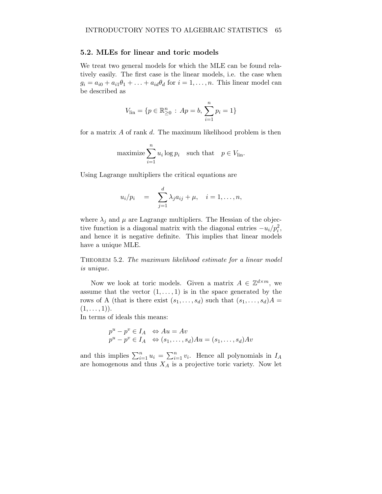#### 5.2. MLEs for linear and toric models

We treat two general models for which the MLE can be found relatively easily. The first case is the linear models, i.e. the case when  $g_i = a_{i0} + a_{i1}\theta_1 + \ldots + a_{id}\theta_d$  for  $i = 1, \ldots, n$ . This linear model can be described as

$$
V_{\text{lin}} = \{ p \in \mathbb{R}^n_{\geq 0} : Ap = b, \sum_{i=1}^n p_i = 1 \}
$$

for a matrix A of rank d. The maximum likelihood problem is then

maximize 
$$
\sum_{i=1}^{n} u_i \log p_i
$$
 such that  $p \in V_{\text{lin}}$ .

Using Lagrange multipliers the critical equations are

$$
u_i/p_i = \sum_{j=1}^d \lambda_j a_{ij} + \mu, \quad i = 1, \ldots, n,
$$

where  $\lambda_j$  and  $\mu$  are Lagrange multipliers. The Hessian of the objective function is a diagonal matrix with the diagonal entries  $-u_i/p_i^2$ , and hence it is negative definite. This implies that linear models have a unique MLE.

THEOREM 5.2. The maximum likelihood estimate for a linear model is unique.

Now we look at toric models. Given a matrix  $A \in \mathbb{Z}^{d \times m}$ , we assume that the vector  $(1,\ldots,1)$  is in the space generated by the rows of A (that is there exist  $(s_1,...,s_d)$  such that  $(s_1,...,s_d)A =$  $(1,\ldots,1)$ .

In terms of ideals this means:

$$
p^{u} - p^{v} \in I_A \iff Au = Av
$$
  

$$
p^{u} - p^{v} \in I_A \iff (s_1, \dots, s_d)Au = (s_1, \dots, s_d)Av
$$

and this implies  $\sum_{i=1}^{n} u_i = \sum_{i=1}^{n} v_i$ . Hence all polynomials in  $I_A$ are homogenous and thus  $X_A$  is a projective toric variety. Now let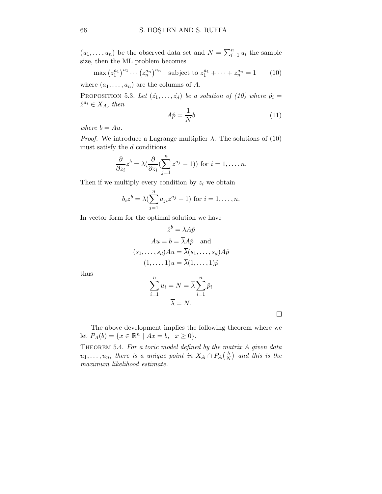$(u_1, \ldots, u_n)$  be the observed data set and  $N = \sum_{i=1}^n u_i$  the sample size, then the ML problem becomes

$$
\max (z_1^{a_1})^{u_1} \cdots (z_n^{a_n})^{u_n} \quad \text{subject to } z_1^{a_1} + \cdots + z_n^{a_n} = 1 \qquad (10)
$$
\n
$$
\text{where } (a_1, \ldots, a_n) \text{ are the columns of } A.
$$

PROPOSITION 5.3. Let  $(\hat{z}_1,\ldots,\hat{z}_d)$  be a solution of (10) where  $\hat{p}_i =$  $\hat{z}^{a_i} \in X_A$ , then

$$
A\hat{p} = \frac{1}{N}b\tag{11}
$$

where  $b = Au$ .

*Proof.* We introduce a Lagrange multiplier  $\lambda$ . The solutions of (10) must satisfy the  $d$  conditions

$$
\frac{\partial}{\partial z_i} z^b = \lambda \left( \frac{\partial}{\partial z_i} \left( \sum_{j=1}^n z^{a_j} - 1 \right) \right) \text{ for } i = 1, \dots, n.
$$

Then if we multiply every condition by  $z_i$  we obtain

$$
b_i z^b = \lambda \left( \sum_{j=1}^n a_{ji} z^{a_j} - 1 \right)
$$
 for  $i = 1, ..., n$ .

In vector form for the optimal solution we have

$$
\hat{z}^b = \lambda A \hat{p}
$$
  
\n
$$
Au = b = \overline{\lambda} A \hat{p} \text{ and}
$$
  
\n
$$
(s_1, \dots, s_d) Au = \overline{\lambda}(s_1, \dots, s_d) A \hat{p}
$$
  
\n
$$
(1, \dots, 1)u = \overline{\lambda}(1, \dots, 1) \hat{p}
$$

thus

$$
\sum_{i=1}^{n} u_i = N = \overline{\lambda} \sum_{i=1}^{n} \hat{p}_i
$$

$$
\overline{\lambda} = N.
$$

 $\Box$ 

The above development implies the following theorem where we let  $P_A(b) = \{x \in \mathbb{R}^n \mid Ax = b, \ \ x \ge 0\}.$ 

THEOREM 5.4. For a toric model defined by the matrix  $A$  given data  $u_1, \ldots, u_n$ , there is a unique point in  $X_A \cap P_A(\frac{b}{\Delta})$  $\frac{b}{N}$  and this is the maximum likelihood estimate.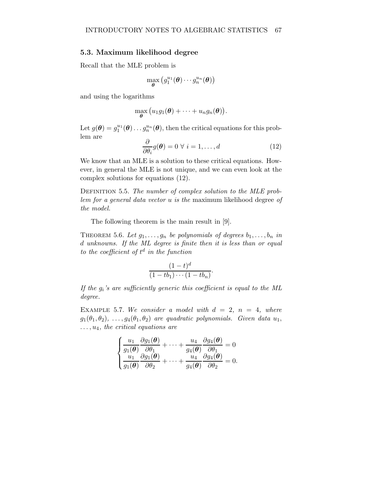#### 5.3. Maximum likelihood degree

Recall that the MLE problem is

$$
\max_{\boldsymbol{\theta}}\big(g_1^{u_1}(\boldsymbol{\theta})\cdots g_n^{u_n}(\boldsymbol{\theta})\big)
$$

and using the logarithms

$$
\max_{\boldsymbol{\theta}} (u_1g_1(\boldsymbol{\theta}) + \cdots + u_ng_n(\boldsymbol{\theta})).
$$

Let  $g(\theta) = g_1^{u_1}(\theta) \dots g_n^{u_n}(\theta)$ , then the critical equations for this problem are

$$
\frac{\partial}{\partial \theta_i} g(\boldsymbol{\theta}) = 0 \ \forall \ i = 1, \dots, d \tag{12}
$$

We know that an MLE is a solution to these critical equations. However, in general the MLE is not unique, and we can even look at the complex solutions for equations (12).

DEFINITION 5.5. The number of complex solution to the MLE problem for a general data vector u is the maximum likelihood degree of the model.

The following theorem is the main result in [9].

THEOREM 5.6. Let  $g_1, \ldots, g_n$  be polynomials of degrees  $b_1, \ldots, b_n$  in d unknowns. If the ML degree is finite then it is less than or equal to the coefficient of  $t^d$  in the function

$$
\frac{(1-t)^d}{(1-tb_1)\cdots(1-tb_n)}.
$$

If the  $g_i$ 's are sufficiently generic this coefficient is equal to the ML degree.

EXAMPLE 5.7. We consider a model with  $d = 2$ ,  $n = 4$ , where  $g_1(\theta_1,\theta_2), \ldots, g_4(\theta_1,\theta_2)$  are quadratic polynomials. Given data  $u_1$ ,  $\dots, u_4$ , the critical equations are

$$
\begin{cases}\n\frac{u_1}{g_1(\theta)}\frac{\partial g_1(\theta)}{\partial \theta_1} + \dots + \frac{u_4}{g_4(\theta)}\frac{\partial g_4(\theta)}{\partial \theta_1} = 0\\ \n\frac{u_1}{g_1(\theta)}\frac{\partial g_1(\theta)}{\partial \theta_2} + \dots + \frac{u_4}{g_4(\theta)}\frac{\partial g_4(\theta)}{\partial \theta_2} = 0.\n\end{cases}
$$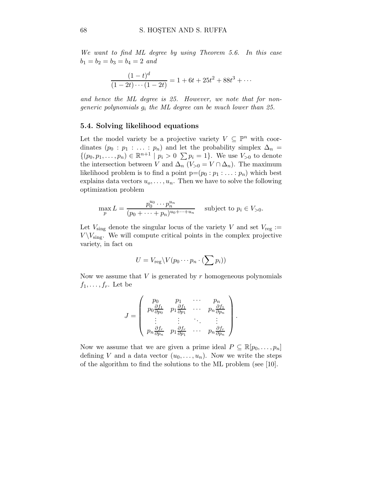We want to find ML degree by using Theorem 5.6. In this case  $b_1 = b_2 = b_3 = b_4 = 2$  and

$$
\frac{(1-t)^d}{(1-2t)\cdots(1-2t)} = 1 + 6t + 25t^2 + 88t^3 + \cdots
$$

and hence the ML degree is 25. However, we note that for nongeneric polynomials  $g_i$  the ML degree can be much lower than 25.

### 5.4. Solving likelihood equations

Let the model variety be a projective variety  $V \subseteq \mathbb{P}^n$  with coordinates  $(p_0 : p_1 : \ldots : p_n)$  and let the probability simplex  $\Delta_n =$  $\{(p_0, p_1, \ldots, p_n) \in \mathbb{R}^{n+1} \mid p_i > 0 \sum p_i = 1\}.$  We use  $V_{>0}$  to denote the intersection between V and  $\Delta_n$  (V<sub>>0</sub> = V ∩  $\Delta_n$ ). The maximum likelihood problem is to find a point  $p=(p_0 : p_1 : \ldots : p_n)$  which best explains data vectors  $u_0, \ldots, u_n$ . Then we have to solve the following optimization problem

$$
\max_{p} L = \frac{p_0^{u_0} \cdots p_n^{u_n}}{(p_0 + \cdots + p_n)^{u_0 + \cdots + u_n}} \text{ subject to } p_i \in V_{>0}.
$$

Let  $V_{\text{sing}}$  denote the singular locus of the variety V and set  $V_{\text{reg}} :=$  $V \backslash V_{\text{sing}}$ . We will compute critical points in the complex projective variety, in fact on

$$
U = V_{\text{reg}} \backslash V(p_0 \cdots p_n \cdot (\sum p_i))
$$

Now we assume that  $V$  is generated by  $r$  homogeneous polynomials  $f_1,\ldots,f_r$ . Let be

$$
J = \begin{pmatrix} p_0 & p_1 & \cdots & p_n \\ p_0 \frac{\partial f_1}{\partial p_0} & p_1 \frac{\partial f_1}{\partial p_1} & \cdots & p_n \frac{\partial f_1}{\partial p_n} \\ \vdots & \vdots & \ddots & \vdots \\ p_n \frac{\partial f_r}{\partial p_n} & p_1 \frac{\partial f_r}{\partial p_1} & \cdots & p_n \frac{\partial f_r}{\partial p_n} \end{pmatrix}.
$$

Now we assume that we are given a prime ideal  $P \subseteq \mathbb{R}[p_0,\ldots,p_n]$ defining V and a data vector  $(u_0, \ldots, u_n)$ . Now we write the steps of the algorithm to find the solutions to the ML problem (see [10].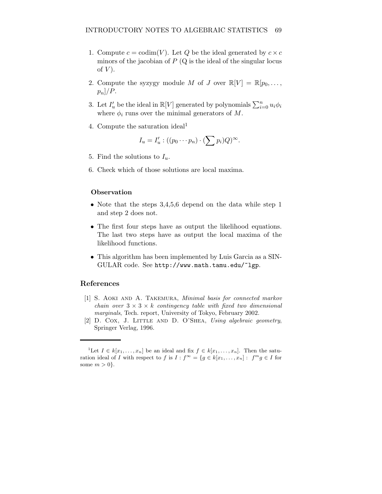- 1. Compute  $c = \text{codim}(V)$ . Let Q be the ideal generated by  $c \times c$ minors of the jacobian of  $P(Q)$  is the ideal of the singular locus of  $V$ ).
- 2. Compute the syzygy module M of J over  $\mathbb{R}[V] = \mathbb{R}[p_0, \ldots,$  $p_n$ |/ $P$ .
- 3. Let  $I'_u$  be the ideal in  $\mathbb{R}[V]$  generated by polynomials  $\sum_{i=0}^n u_i \phi_i$ where  $\phi_i$  runs over the minimal generators of M.
- 4. Compute the saturation ideal<sup>1</sup>

$$
I_u = I'_u : ((p_0 \cdots p_n) \cdot (\sum p_i)Q)^\infty.
$$

- 5. Find the solutions to  $I_u$ .
- 6. Check which of those solutions are local maxima.

## **Observation**

- Note that the steps 3,4,5,6 depend on the data while step 1 and step 2 does not.
- The first four steps have as output the likelihood equations. The last two steps have as output the local maxima of the likelihood functions.
- This algorithm has been implemented by Luis Garcia as a SIN-GULAR code. See http://www.math.tamu.edu/~lgp.

## References

- [1] S. AOKI AND A. TAKEMURA, Minimal basis for connected markov chain over  $3 \times 3 \times k$  contingency table with fixed two dimensional marginals, Tech. report, University of Tokyo, February 2002.
- [2] D. COX, J. LITTLE AND D. O'SHEA, Using algebraic geometry, Springer Verlag, 1996.

<sup>&</sup>lt;sup>1</sup>Let  $I \in k[x_1, \ldots, x_n]$  be an ideal and fix  $f \in k[x_1, \ldots, x_n]$ . Then the saturation ideal of I with respect to f is  $I : f^{\infty} = \{g \in k[x_1, \ldots, x_n]: f^m g \in I \text{ for }$ some  $m > 0$ .